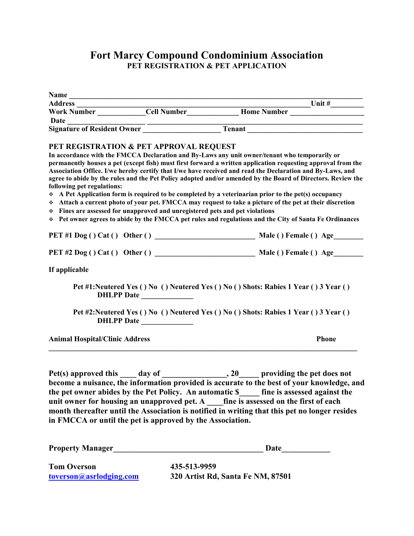## **Fort Marcy Compound Condominium Association PET REGISTRATION & PET APPLICATION**

|                                       |                                                                                                                         | Address _____________________Cell Number________________Home Number ______________<br>Work Number ______________Cell Number _______________Home Number _______________                                                                                                                                                                                                                                                                                                                                                                                                                                                                                                                                                                                                     |
|---------------------------------------|-------------------------------------------------------------------------------------------------------------------------|----------------------------------------------------------------------------------------------------------------------------------------------------------------------------------------------------------------------------------------------------------------------------------------------------------------------------------------------------------------------------------------------------------------------------------------------------------------------------------------------------------------------------------------------------------------------------------------------------------------------------------------------------------------------------------------------------------------------------------------------------------------------------|
|                                       |                                                                                                                         |                                                                                                                                                                                                                                                                                                                                                                                                                                                                                                                                                                                                                                                                                                                                                                            |
|                                       |                                                                                                                         |                                                                                                                                                                                                                                                                                                                                                                                                                                                                                                                                                                                                                                                                                                                                                                            |
|                                       |                                                                                                                         |                                                                                                                                                                                                                                                                                                                                                                                                                                                                                                                                                                                                                                                                                                                                                                            |
| following pet regulations:            | PET REGISTRATION & PET APPROVAL REQUEST<br>❖ Fines are assessed for unapproved and unregistered pets and pet violations | In accordance with the FMCCA Declaration and By-Laws any unit owner/tenant who temporarily or<br>permanently houses a pet (except fish) must first forward a written application requesting approval from the<br>Association Office. I/we hereby certify that I/we have received and read the Declaration and By-Laws, and<br>agree to abide by the rules and the Pet Policy adopted and/or amended by the Board of Directors. Review the<br>$\div$ A Pet Application form is required to be completed by a veterinarian prior to the pet(s) occupancy<br>Attach a current photo of your pet. FMCCA may request to take a picture of the pet at their discretion<br>→ Pet owner agrees to abide by the FMCCA pet rules and regulations and the City of Santa Fe Ordinances |
|                                       |                                                                                                                         |                                                                                                                                                                                                                                                                                                                                                                                                                                                                                                                                                                                                                                                                                                                                                                            |
|                                       |                                                                                                                         |                                                                                                                                                                                                                                                                                                                                                                                                                                                                                                                                                                                                                                                                                                                                                                            |
| If applicable                         |                                                                                                                         |                                                                                                                                                                                                                                                                                                                                                                                                                                                                                                                                                                                                                                                                                                                                                                            |
|                                       | DHLPP Date                                                                                                              | Pet #1:Neutered Yes () No () Neutered Yes () No () Shots: Rabies 1 Year () 3 Year ()                                                                                                                                                                                                                                                                                                                                                                                                                                                                                                                                                                                                                                                                                       |
|                                       | DHLPP Date                                                                                                              | Pet #2:Neutered Yes () No () Neutered Yes () No () Shots: Rabies 1 Year () 3 Year ()                                                                                                                                                                                                                                                                                                                                                                                                                                                                                                                                                                                                                                                                                       |
| <b>Animal Hospital/Clinic Address</b> |                                                                                                                         | <b>Phone</b>                                                                                                                                                                                                                                                                                                                                                                                                                                                                                                                                                                                                                                                                                                                                                               |
|                                       | in FMCCA or until the pet is approved by the Association.                                                               | become a nuisance, the information provided is accurate to the best of your knowledge, and<br>the pet owner abides by the Pet Policy. An automatic \$____ fine is assessed against the<br>month thereafter until the Association is notified in writing that this pet no longer resides                                                                                                                                                                                                                                                                                                                                                                                                                                                                                    |
|                                       |                                                                                                                         |                                                                                                                                                                                                                                                                                                                                                                                                                                                                                                                                                                                                                                                                                                                                                                            |

**Tom Overson**<br> **435-513-9959**<br> **toverson@asrlodging.com**<br> **435-513-9959** 

**[toverson@asrlodging.com](mailto:toverson@asrlodging.com) 320 Artist Rd, Santa Fe NM, 87501**